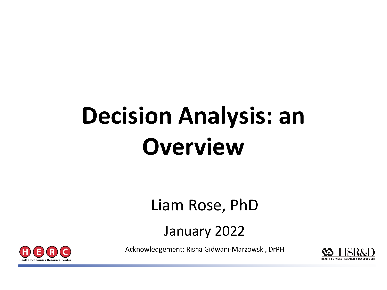# **Decision Analysis: an Overview**

#### Liam Rose, PhD

#### January 2022

Acknowledgement: Risha Gidwani-Marzowski, DrPH

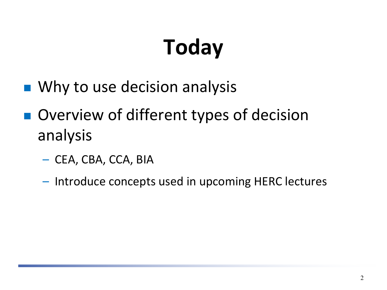# **Today**

- Why to use decision analysis
- Overview of different types of decision analysis
	- CEA, CBA, CCA, BIA
	- Introduce concepts used in upcoming HERC lectures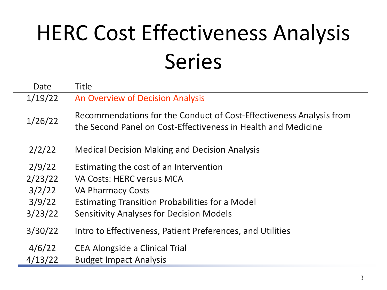# HERC Cost Effectiveness Analysis Series

| Date    | Title                                                                                                                                |
|---------|--------------------------------------------------------------------------------------------------------------------------------------|
| 1/19/22 | An Overview of Decision Analysis                                                                                                     |
| 1/26/22 | Recommendations for the Conduct of Cost-Effectiveness Analysis from<br>the Second Panel on Cost-Effectiveness in Health and Medicine |
| 2/2/22  | <b>Medical Decision Making and Decision Analysis</b>                                                                                 |
| 2/9/22  | Estimating the cost of an Intervention                                                                                               |
| 2/23/22 | <b>VA Costs: HERC versus MCA</b>                                                                                                     |
| 3/2/22  | <b>VA Pharmacy Costs</b>                                                                                                             |
| 3/9/22  | <b>Estimating Transition Probabilities for a Model</b>                                                                               |
| 3/23/22 | <b>Sensitivity Analyses for Decision Models</b>                                                                                      |
| 3/30/22 | Intro to Effectiveness, Patient Preferences, and Utilities                                                                           |
| 4/6/22  | <b>CEA Alongside a Clinical Trial</b>                                                                                                |
| 4/13/22 | <b>Budget Impact Analysis</b>                                                                                                        |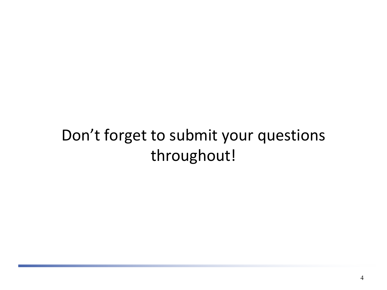#### Don't forget to submit your questions throughout!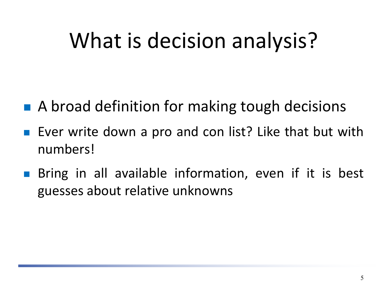### What is decision analysis?

- A broad definition for making tough decisions
- **Exer write down a pro and con list? Like that but with** numbers!
- **Bring in all available information, even if it is best** guesses about relative unknowns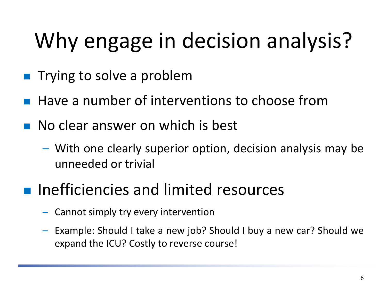# Why engage in decision analysis?

- **Trying to solve a problem**
- Have a number of interventions to choose from
- **No clear answer on which is best** 
	- With one clearly superior option, decision analysis may be unneeded or trivial
- **Inefficiencies and limited resources** 
	- Cannot simply try every intervention
	- Example: Should I take a new job? Should I buy a new car? Should we expand the ICU? Costly to reverse course!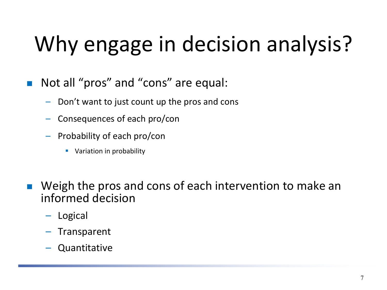# Why engage in decision analysis?

- **Not all "pros" and "cons" are equal:** 
	- Don't want to just count up the pros and cons
	- Consequences of each pro/con
	- Probability of each pro/con
		- **Variation in probability**
- **Neigh the pros and cons of each intervention to make an** informed decision
	- Logical
	- Transparent
	- Quantitative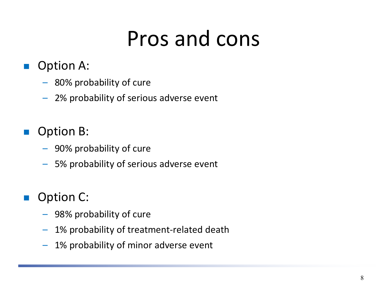### Pros and cons

- Option A:
	- 80% probability of cure
	- 2% probability of serious adverse event
- Option B:
	- 90% probability of cure
	- 5% probability of serious adverse event
- Option C:
	- 98% probability of cure
	- 1% probability of treatment-related death
	- 1% probability of minor adverse event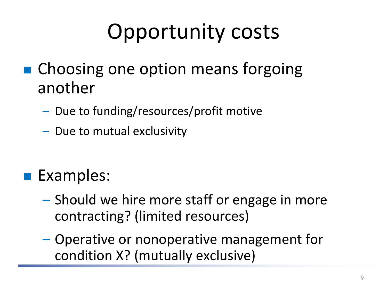## Opportunity costs

- Choosing one option means forgoing another
	- Due to funding/resources/profit motive
	- Due to mutual exclusivity
- **Examples:** 
	- Should we hire more staff or engage in more contracting? (limited resources)
	- Operative or nonoperative management for condition X? (mutually exclusive)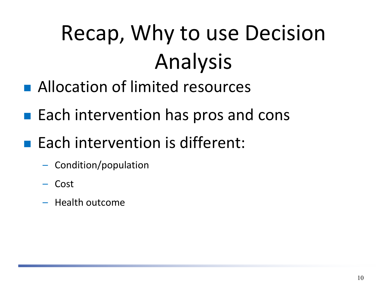# Recap, Why to use Decision Analysis

- **Allocation of limited resources**
- $\blacksquare$  Each intervention has pros and cons
- $\blacksquare$  Each intervention is different:
	- Condition/population
	- Cost
	- Health outcome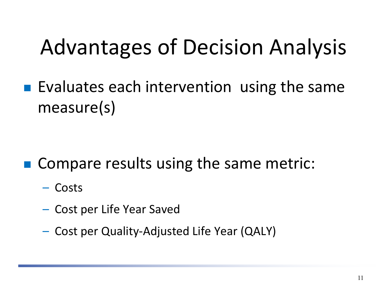### Advantages of Decision Analysis

**Exaluates each intervention using the same** measure(s)

- Compare results using the same metric:
	- Costs
	- Cost per Life Year Saved
	- Cost per Quality-Adjusted Life Year (QALY)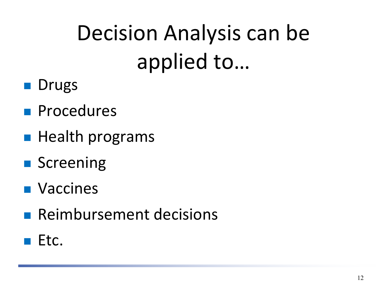# Decision Analysis can be applied to…

- **Drugs**
- **Procedures**
- $\blacksquare$  Health programs
- **Screening**
- **Naccines**
- **Reimbursement decisions**
- $E$  Etc.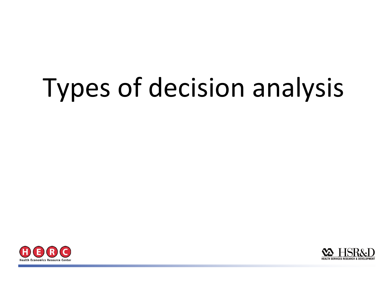# Types of decision analysis



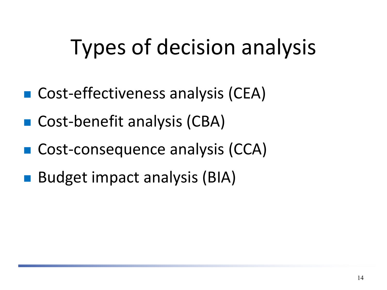### Types of decision analysis

- Cost-effectiveness analysis (CEA)
- Cost-benefit analysis (CBA)
- Cost-consequence analysis (CCA)
- Budget impact analysis (BIA)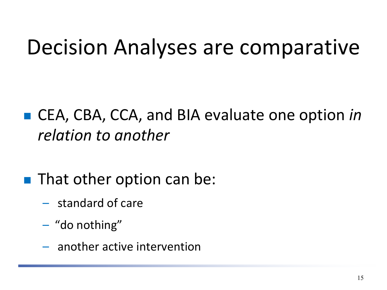### Decision Analyses are comparative

#### ■ CEA, CBA, CCA, and BIA evaluate one option *in relation to another*

#### **That other option can be:**

- standard of care
- "do nothing"
- another active intervention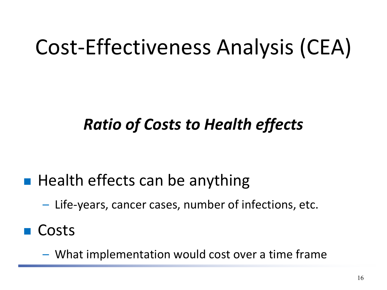## Cost-Effectiveness Analysis (CEA)

#### *Ratio of Costs to Health effects*

- $\blacksquare$  Health effects can be anything
	- Life-years, cancer cases, number of infections, etc.
- Costs
	- What implementation would cost over a time frame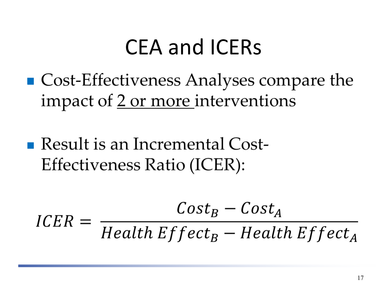#### CEA and ICERs

- $\blacksquare$  Cost-Effectiveness Analyses compare the impact of 2 or more interventions
- Result is an Incremental Cost-Effectiveness Ratio (ICER):

$$
ICER = \frac{Cost_B - Cost_A}{Health Effect_B - Health Effect_A}
$$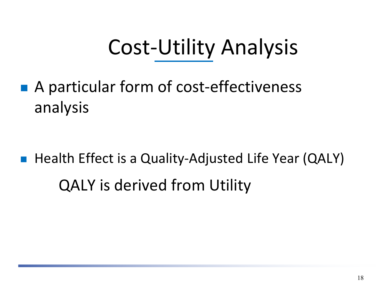## Cost-Utility Analysis

■ A particular form of cost-effectiveness analysis

■ Health Effect is a Quality-Adjusted Life Year (QALY) QALY is derived from Utility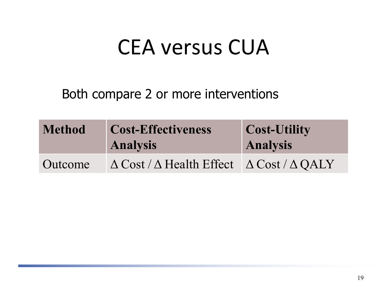#### CEA versus CUA

Both compare 2 or more interventions

| <b>Method</b> | <b>Cost-Effectiveness</b><br><b>Analysis</b>                         | <b>Cost-Utility</b><br><b>Analysis</b> |
|---------------|----------------------------------------------------------------------|----------------------------------------|
| Outcome       | $\Delta$ Cost / $\Delta$ Health Effect $\Delta$ Cost / $\Delta$ QALY |                                        |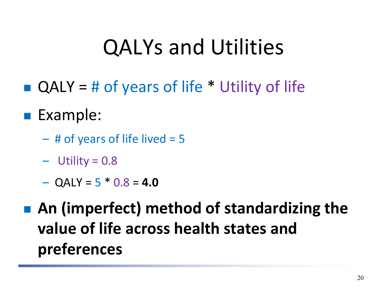### QALYs and Utilities

- $\blacksquare$  QALY = # of years of life  $*$  Utility of life
- **Example:** 
	- $-$  # of years of life lived  $=$  5
	- $-$  Utility = 0.8
	- $-$  QALY = 5  $*$  0.8 = **4.0**

 **An (imperfect) method of standardizing the value of life across health states and preferences**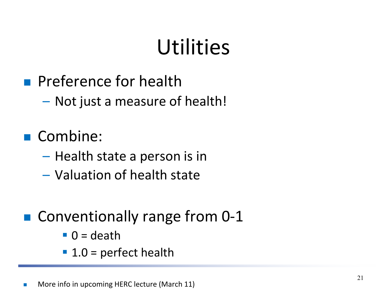### **Utilities**

- **Preference for health** 
	- Not just a measure of health!
- Combine:
	- Health state a person is in
	- Valuation of health state
- Conventionally range from 0-1
	- $\blacksquare$  0 = death
	- $\blacksquare$  1.0 = perfect health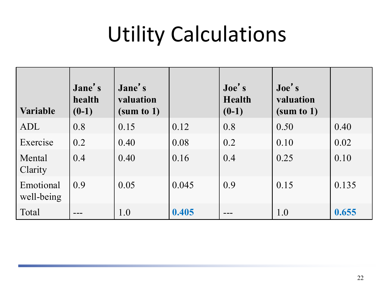## Utility Calculations

| <b>Variable</b>         | Jane's<br>health<br>$(0-1)$ | Jane's<br>valuation<br>(sum to 1) |       | $\text{Joe}'\text{ s}$<br><b>Health</b><br>$(0-1)$ | $\textbf{Joe's}$<br>valuation<br>(sum to 1) |       |
|-------------------------|-----------------------------|-----------------------------------|-------|----------------------------------------------------|---------------------------------------------|-------|
| ADL                     | 0.8                         | 0.15                              | 0.12  | 0.8                                                | 0.50                                        | 0.40  |
| Exercise                | 0.2                         | 0.40                              | 0.08  | 0.2                                                | 0.10                                        | 0.02  |
| Mental<br>Clarity       | 0.4                         | 0.40                              | 0.16  | 0.4                                                | 0.25                                        | 0.10  |
| Emotional<br>well-being | 0.9                         | 0.05                              | 0.045 | 0.9                                                | 0.15                                        | 0.135 |
| Total                   |                             | 1.0                               | 0.405 |                                                    | 1.0                                         | 0.655 |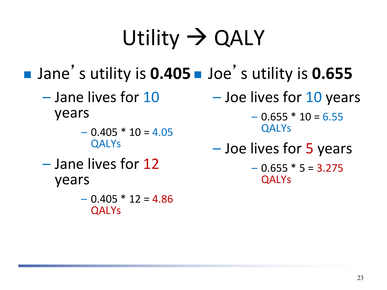# Utility  $\rightarrow$  QALY

■ Jane's utility is **0.405** ■ Joe's utility is **0.655** 

- - $-0.405 * 10 = 4.05$  QALYs
- years QALYs
	- $-0.405 * 12 = 4.86$ QALYs

 $-$  Jane lives for  $10$   $-$  Joe lives for  $10$  years

years  $-0.655 * 10 = 6.55$ 

- $QALYs$   $-$  Joe lives for 5 years<br>  $-$  Jane lives for 12  $-$  0.655  $*$  5 = 3.275
	-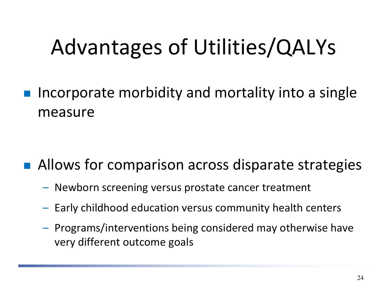## Advantages of Utilities/QALYs

 Incorporate morbidity and mortality into a single measure

#### Allows for comparison across disparate strategies

- Newborn screening versus prostate cancer treatment
- Early childhood education versus community health centers
- Programs/interventions being considered may otherwise have very different outcome goals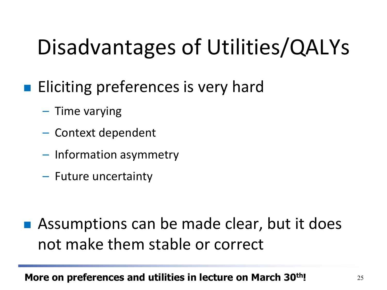## Disadvantages of Utilities/QALYs

- **Eliciting preferences is very hard** 
	- Time varying
	- Context dependent
	- Information asymmetry
	- Future uncertainty

■ Assumptions can be made clear, but it does not make them stable or correct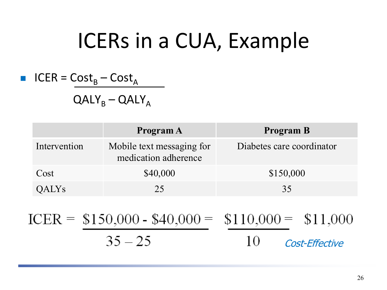### ICERs in a CUA, Example

■ 
$$
ICER = Cost_B - Cost_A
$$

 $QALY_B - QALY_A$ 

|              | Program A                                         | <b>Program B</b>          |
|--------------|---------------------------------------------------|---------------------------|
| Intervention | Mobile text messaging for<br>medication adherence | Diabetes care coordinator |
| Cost         | \$40,000                                          | \$150,000                 |
| QALYS        | つち                                                | 35                        |

$$
ICER = \frac{$150,000 - $40,000}{35 - 25} = \frac{$110,000}{10} = $11,000
$$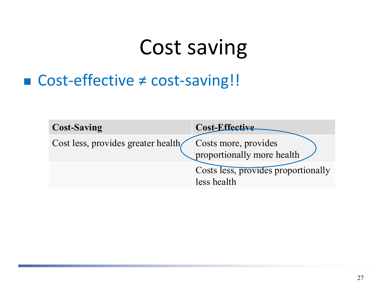### Cost saving

#### ■ Cost-effective ≠ cost-saving!!

| <b>Cost-Saving</b>                 | Cost-Effective                                     |
|------------------------------------|----------------------------------------------------|
| Cost less, provides greater health | Costs more, provides<br>proportionally more health |
|                                    | Costs less, provides proportionally<br>less health |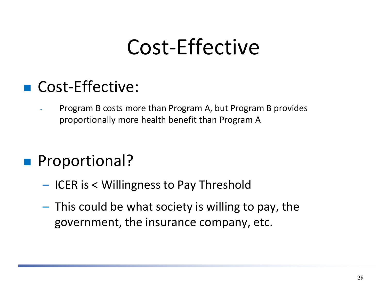### Cost-Effective

#### Cost-Effective:

- Program B costs more than Program A, but Program B provides proportionally more health benefit than Program A

#### **Proportional?**

- ICER is < Willingness to Pay Threshold
- This could be what society is willing to pay, the government, the insurance company, etc.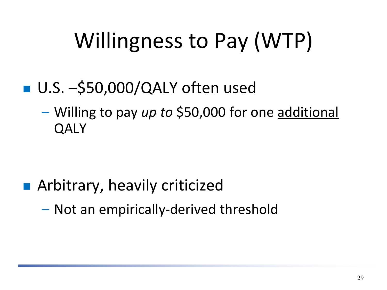## Willingness to Pay (WTP)

#### ■ U.S. –\$50,000/QALY often used

– Willing to pay *up to* \$50,000 for one additional **QALY** 

#### **E** Arbitrary, heavily criticized

– Not an empirically-derived threshold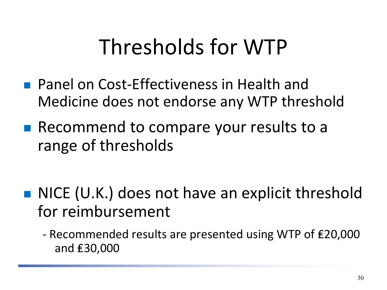### Thresholds for WTP

- **Panel on Cost-Effectiveness in Health and** Medicine does not endorse any WTP threshold
- Recommend to compare your results to a range of thresholds
- NICE (U.K.) does not have an explicit threshold for reimbursement
	- Recommended results are presented using WTP of ₤20,000 and ₤30,000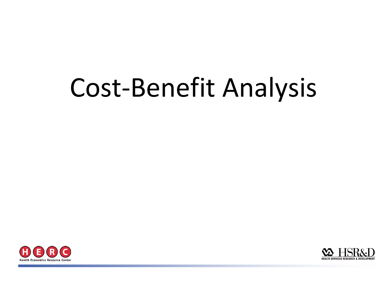# Cost-Benefit Analysis



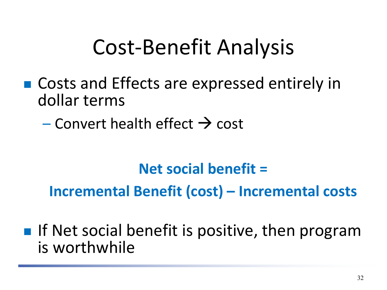### Cost-Benefit Analysis

- Costs and Effects are expressed entirely in dollar terms
	- Convert health effect  $\rightarrow$  cost

#### **Net social benefit = Incremental Benefit (cost) – Incremental costs**

 $\blacksquare$  If Net social benefit is positive, then program is worthwhile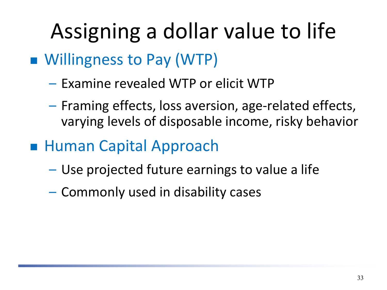# Assigning a dollar value to life

- Willingness to Pay (WTP)
	- Examine revealed WTP or elicit WTP
	- Framing effects, loss aversion, age-related effects, varying levels of disposable income, risky behavior
- Human Capital Approach
	- Use projected future earnings to value a life
	- Commonly used in disability cases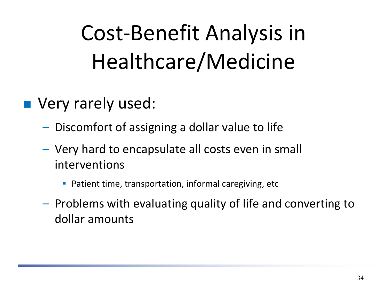# Cost-Benefit Analysis in Healthcare/Medicine

- **Very rarely used:** 
	- Discomfort of assigning a dollar value to life
	- Very hard to encapsulate all costs even in small interventions
		- Patient time, transportation, informal caregiving, etc
	- Problems with evaluating quality of life and converting to dollar amounts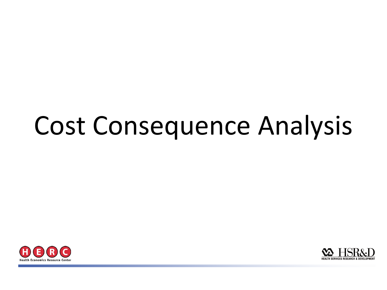# Cost Consequence Analysis



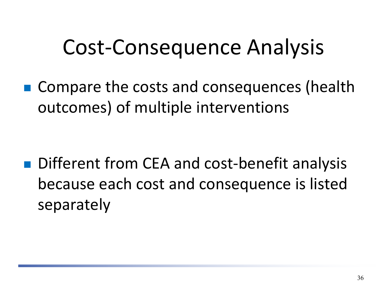#### Cost-Consequence Analysis

■ Compare the costs and consequences (health outcomes) of multiple interventions

■ Different from CEA and cost-benefit analysis because each cost and consequence is listed separately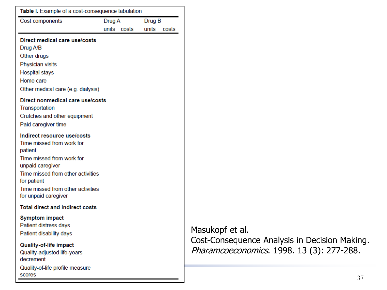| Table I. Example of a cost-consequence tabulation<br>Cost components                                                                                                                                                                  | Drug A |       | Drug B |       |
|---------------------------------------------------------------------------------------------------------------------------------------------------------------------------------------------------------------------------------------|--------|-------|--------|-------|
|                                                                                                                                                                                                                                       | units  | costs | units  | costs |
| Direct medical care use/costs<br>Drug A/B<br>Other drugs<br><b>Physician visits</b><br><b>Hospital stays</b><br>Home care<br>Other medical care (e.g. dialysis)                                                                       |        |       |        |       |
| Direct nonmedical care use/costs<br>Transportation<br>Crutches and other equipment<br>Paid caregiver time                                                                                                                             |        |       |        |       |
| Indirect resource use/costs<br>Time missed from work for<br>patient<br>Time missed from work for<br>unpaid caregiver<br>Time missed from other activities<br>for patient<br>Time missed from other activities<br>for unpaid caregiver |        |       |        |       |
| <b>Total direct and indirect costs</b>                                                                                                                                                                                                |        |       |        |       |
| <b>Symptom impact</b><br>Patient distress days<br>Patient disability days                                                                                                                                                             |        |       |        |       |
| <b>Quality-of-life impact</b><br>Quality-adjusted life-years<br>decrement<br>Quality-of-life profile measure                                                                                                                          |        |       |        |       |

scores

Masukopf et al. Cost-Consequence Analysis in Decision Making. Pharamcoeconomics. 1998. 13 (3): 277-288.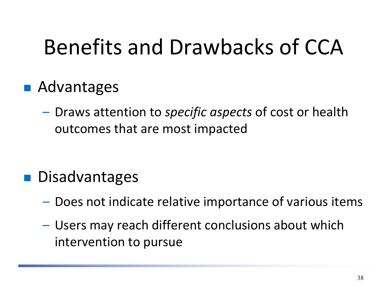### Benefits and Drawbacks of CCA

#### ■ Advantages

– Draws attention to *specific aspects* of cost or health outcomes that are most impacted

#### **Disadvantages**

- Does not indicate relative importance of various items
- Users may reach different conclusions about which intervention to pursue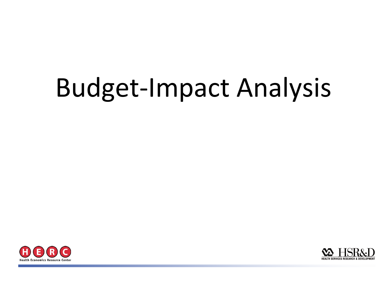# Budget-Impact Analysis



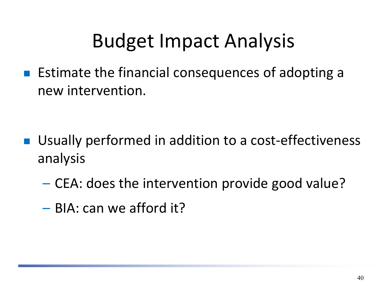#### Budget Impact Analysis

**Estimate the financial consequences of adopting a** new intervention.

- Usually performed in addition to a cost-effectiveness analysis
	- CEA: does the intervention provide good value?
	- BIA: can we afford it?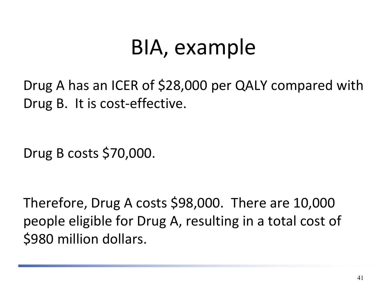### BIA, example

Drug A has an ICER of \$28,000 per QALY compared with Drug B. It is cost-effective.

Drug B costs \$70,000.

Therefore, Drug A costs \$98,000. There are 10,000 people eligible for Drug A, resulting in a total cost of \$980 million dollars.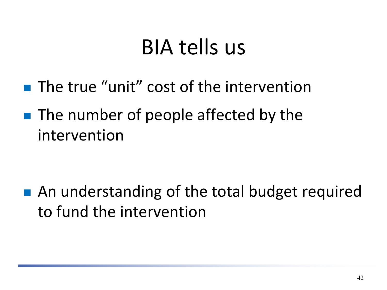### BIA tells us

- **The true "unit" cost of the intervention**
- **The number of people affected by the** intervention

■ An understanding of the total budget required to fund the intervention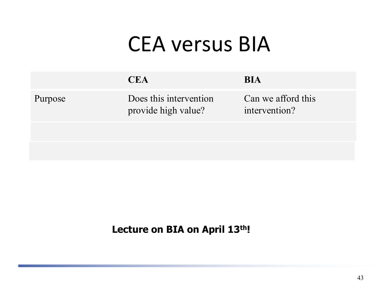#### CEA versus BIA

|         | <b>CEA</b>                                    | <b>BIA</b>                          |
|---------|-----------------------------------------------|-------------------------------------|
| Purpose | Does this intervention<br>provide high value? | Can we afford this<br>intervention? |
|         |                                               |                                     |
|         |                                               |                                     |

#### **Lecture on BIA on April 13th!**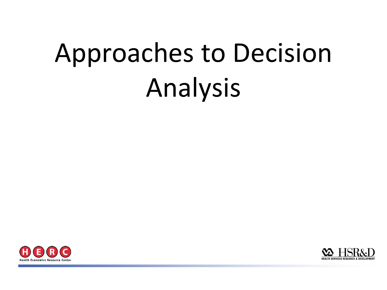# Approaches to Decision Analysis



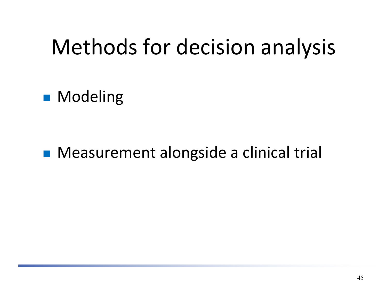### Methods for decision analysis

**Modeling** 

**Measurement alongside a clinical trial**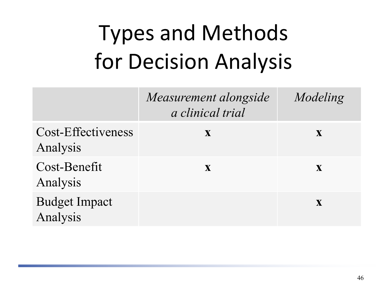# Types and Methods for Decision Analysis

|                                  | Measurement alongside<br>a clinical trial | Modeling     |
|----------------------------------|-------------------------------------------|--------------|
| Cost-Effectiveness<br>Analysis   | $\mathbf X$                               | X            |
| Cost-Benefit<br>Analysis         | $\mathbf{X}$                              | $\mathbf{X}$ |
| <b>Budget Impact</b><br>Analysis |                                           | $\mathbf X$  |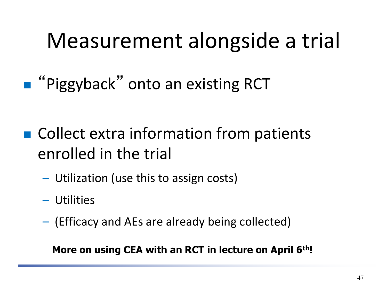### Measurement alongside a trial

**Piggyback"** onto an existing RCT

- Collect extra information from patients enrolled in the trial
	- Utilization (use this to assign costs)
	- Utilities
	- (Efficacy and AEs are already being collected)

#### **More on using CEA with an RCT in lecture on April 6th!**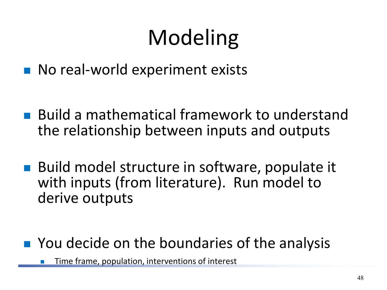# Modeling

- No real-world experiment exists
- Build a mathematical framework to understand the relationship between inputs and outputs
- Build model structure in software, populate it with inputs (from literature). Run model to derive outputs
- You decide on the boundaries of the analysis

Time frame, population, interventions of interest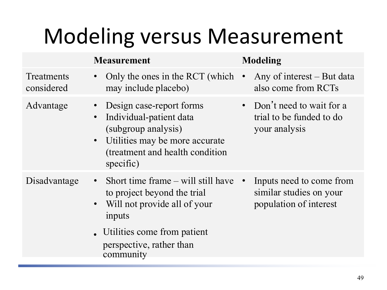### Modeling versus Measurement

|                          | <b>Measurement</b>                                                                                                                                           | <b>Modeling</b>                                                               |
|--------------------------|--------------------------------------------------------------------------------------------------------------------------------------------------------------|-------------------------------------------------------------------------------|
| Treatments<br>considered | Only the ones in the RCT (which $\cdot$<br>$\bullet$<br>may include placebo)                                                                                 | Any of interest $-$ But data<br>also come from RCTs                           |
| Advantage                | Design case-report forms<br>Individual-patient data<br>(subgroup analysis)<br>Utilities may be more accurate<br>(treatment and health condition<br>specific) | • Don't need to wait for a<br>trial to be funded to do<br>your analysis       |
| Disadvantage             | • Short time frame $-\text{ will still have}$<br>to project beyond the trial<br>Will not provide all of your<br>$\bullet$<br>inputs                          | Inputs need to come from<br>similar studies on your<br>population of interest |
|                          | . Utilities come from patient<br>perspective, rather than<br>community                                                                                       |                                                                               |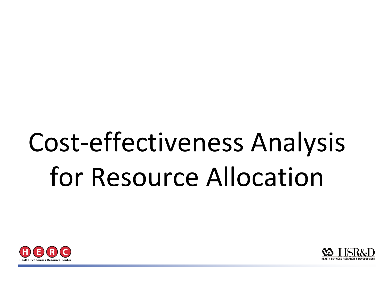# Cost-effectiveness Analysis for Resource Allocation



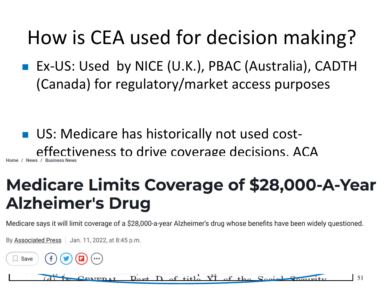#### How is CEA used for decision making?

■ Ex-US: Used by NICE (U.K.), PBAC (Australia), CADTH (Canada) for regulatory/market access purposes

**US: Medicare has historically not used cost**effectiveness to drive coverage decisions. ACA

### profile the contract of the contract of the contract of the contract of the contract of the contract of the contract of the contract of the contract of the contract of the contract of the contract of the contract of the co **Alzheimer's Drug**

Medicare says it will limit coverage of a \$28,000-a-year Alzheimer's drug whose benefits have been widely questioned.

By Associated Press | Jan. 11, 2022, at 8:45 p.m.

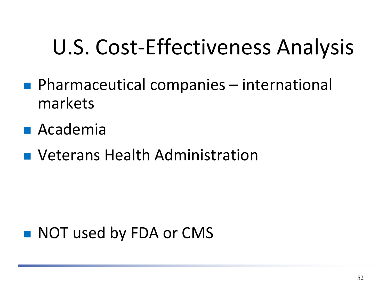### U.S. Cost-Effectiveness Analysis

- Pharmaceutical companies international markets
- Academia
- **Neterans Health Administration**

#### ■ NOT used by FDA or CMS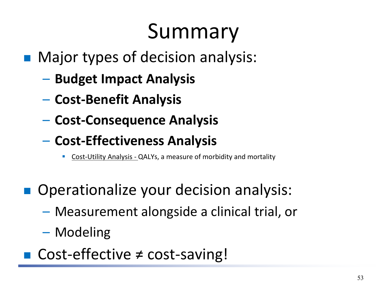### Summary

- Major types of decision analysis:
	- **Budget Impact Analysis**
	- **Cost-Benefit Analysis**
	- **Cost-Consequence Analysis**
	- **Cost-Effectiveness Analysis**
		- Cost-Utility Analysis QALYs, a measure of morbidity and mortality
- Operationalize your decision analysis:
	- Measurement alongside a clinical trial, or
	- Modeling
- Cost-effective ≠ cost-saving!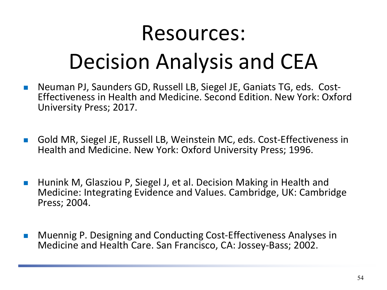#### Resources:

### Decision Analysis and CEA

- Neuman PJ, Saunders GD, Russell LB, Siegel JE, Ganiats TG, eds. Cost-<br>Effectiveness in Health and Medicine. Second Edition. New York: Oxford University Press; 2017.
- Gold MR, Siegel JE, Russell LB, Weinstein MC, eds. Cost-Effectiveness in Health and Medicine. New York: Oxford University Press; 1996.
- Hunink M, Glasziou P, Siegel J, et al. Decision Making in Health and Medicine: Integrating Evidence and Values. Cambridge, UK: Cambridge Press; 2004.
- **Muennig P. Designing and Conducting Cost-Effectiveness Analyses in** Medicine and Health Care. San Francisco, CA: Jossey-Bass; 2002.